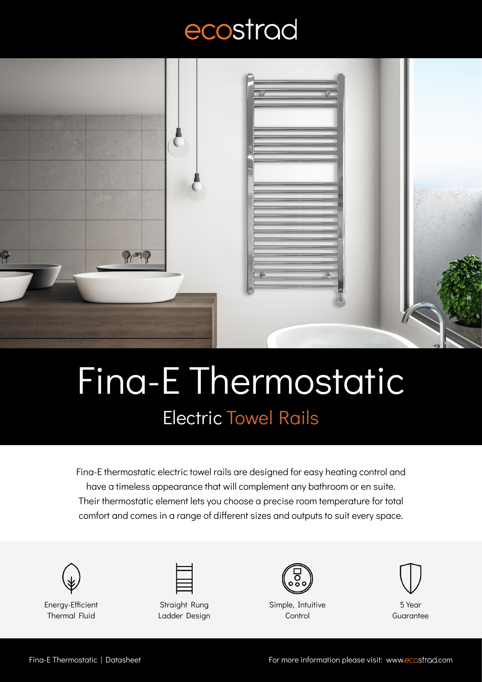## ecostrad



## Fina-E Thermostatic Electric Towel Rails

Fina-E thermostatic electric towel rails are designed for easy heating control and have a timeless appearance that will complement any bathroom or en suite. Their thermostatic element lets you choose a precise room temperature for total comfort and comes in a range of different sizes and outputs to suit every space.





Energy-Efficient Thermal Fluid

Straight Rung Ladder Design



Simple, Intuitive **Control** 



5 Year **Guarantee**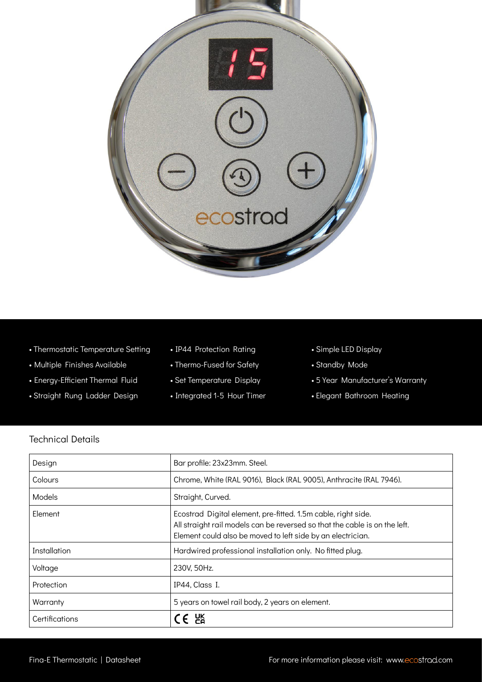

- Thermostatic Temperature Setting
- Multiple Finishes Available
- Energy-Efficient Thermal Fluid
- Straight Rung Ladder Design
- IP44 Protection Rating
- Thermo-Fused for Safety
- Set Temperature Display
- Integrated 1-5 Hour Timer
- Simple LED Display
- Standby Mode
- 5 Year Manufacturer's Warranty
- Elegant Bathroom Heating

## Technical Details

| Design         | Bar profile: 23x23mm. Steel.                                                                                                                                                                               |
|----------------|------------------------------------------------------------------------------------------------------------------------------------------------------------------------------------------------------------|
| Colours        | Chrome, White (RAL 9016), Black (RAL 9005), Anthracite (RAL 7946).                                                                                                                                         |
| Models         | Straight, Curved.                                                                                                                                                                                          |
| Element        | Ecostrad Digital element, pre-fitted. 1.5m cable, right side.<br>All straight rail models can be reversed so that the cable is on the left.<br>Element could also be moved to left side by an electrician. |
| Installation   | Hardwired professional installation only. No fitted plug.                                                                                                                                                  |
| Voltage        | 230V, 50Hz.                                                                                                                                                                                                |
| Protection     | IP44, Class I.                                                                                                                                                                                             |
| Warranty       | 5 years on towel rail body, 2 years on element.                                                                                                                                                            |
| Certifications | E PR                                                                                                                                                                                                       |